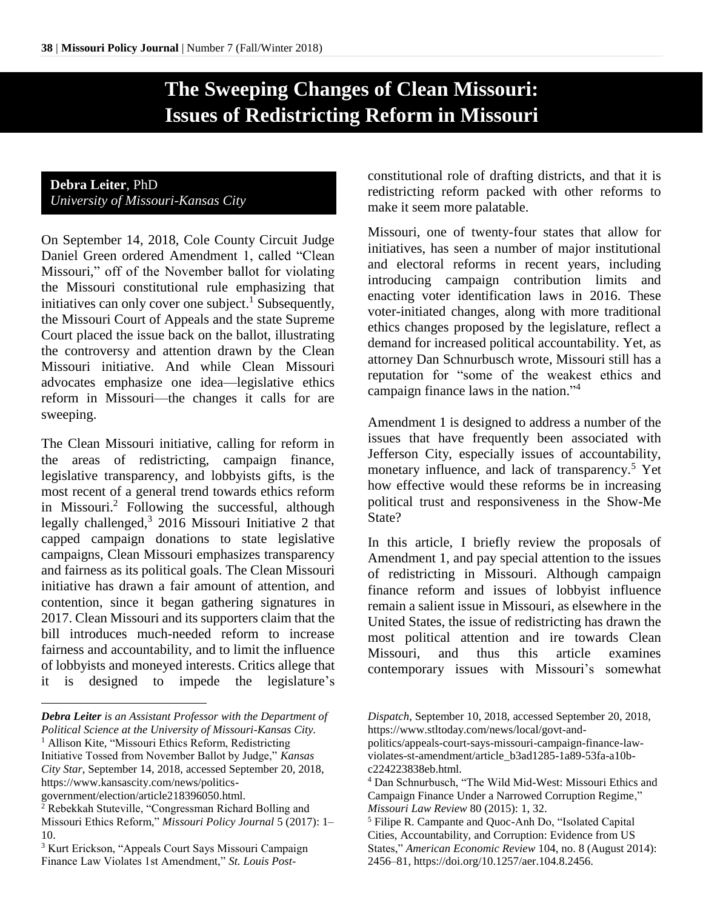# **The Sweeping Changes of Clean Missouri: Issues of Redistricting Reform in Missouri**

# **Debra Leiter**, PhD *University of Missouri-Kansas City*

On September 14, 2018, Cole County Circuit Judge Daniel Green ordered Amendment 1, called "Clean Missouri," off of the November ballot for violating the Missouri constitutional rule emphasizing that initiatives can only cover one subject.<sup>1</sup> Subsequently, the Missouri Court of Appeals and the state Supreme Court placed the issue back on the ballot, illustrating the controversy and attention drawn by the Clean Missouri initiative. And while Clean Missouri advocates emphasize one idea—legislative ethics reform in Missouri—the changes it calls for are sweeping.

The Clean Missouri initiative, calling for reform in the areas of redistricting, campaign finance, legislative transparency, and lobbyists gifts, is the most recent of a general trend towards ethics reform in Missouri.<sup>2</sup> Following the successful, although legally challenged, 3 2016 Missouri Initiative 2 that capped campaign donations to state legislative campaigns, Clean Missouri emphasizes transparency and fairness as its political goals. The Clean Missouri initiative has drawn a fair amount of attention, and contention, since it began gathering signatures in 2017. Clean Missouri and its supporters claim that the bill introduces much-needed reform to increase fairness and accountability, and to limit the influence of lobbyists and moneyed interests. Critics allege that it is designed to impede the legislature's

*Debra Leiter is an Assistant Professor with the Department of Political Science at the University of Missouri-Kansas City.* <sup>1</sup> Allison Kite, "Missouri Ethics Reform, Redistricting Initiative Tossed from November Ballot by Judge," *Kansas City Star*, September 14, 2018, accessed September 20, 2018, https://www.kansascity.com/news/politics-

government/election/article218396050.html.

 $\overline{a}$ 

constitutional role of drafting districts, and that it is redistricting reform packed with other reforms to make it seem more palatable.

Missouri, one of twenty-four states that allow for initiatives, has seen a number of major institutional and electoral reforms in recent years, including introducing campaign contribution limits and enacting voter identification laws in 2016. These voter-initiated changes, along with more traditional ethics changes proposed by the legislature, reflect a demand for increased political accountability. Yet, as attorney Dan Schnurbusch wrote, Missouri still has a reputation for "some of the weakest ethics and campaign finance laws in the nation."<sup>4</sup>

Amendment 1 is designed to address a number of the issues that have frequently been associated with Jefferson City, especially issues of accountability, monetary influence, and lack of transparency.<sup>5</sup> Yet how effective would these reforms be in increasing political trust and responsiveness in the Show-Me State?

In this article, I briefly review the proposals of Amendment 1, and pay special attention to the issues of redistricting in Missouri. Although campaign finance reform and issues of lobbyist influence remain a salient issue in Missouri, as elsewhere in the United States, the issue of redistricting has drawn the most political attention and ire towards Clean Missouri, and thus this article examines contemporary issues with Missouri's somewhat

<sup>&</sup>lt;sup>2</sup> Rebekkah Stuteville, "Congressman Richard Bolling and Missouri Ethics Reform," *Missouri Policy Journal* 5 (2017): 1– 10.

<sup>3</sup> Kurt Erickson, "Appeals Court Says Missouri Campaign Finance Law Violates 1st Amendment," *St. Louis Post-*

*Dispatch*, September 10, 2018, accessed September 20, 2018, https://www.stltoday.com/news/local/govt-and-

politics/appeals-court-says-missouri-campaign-finance-lawviolates-st-amendment/article\_b3ad1285-1a89-53fa-a10bc224223838eb.html.

<sup>4</sup> Dan Schnurbusch, "The Wild Mid-West: Missouri Ethics and Campaign Finance Under a Narrowed Corruption Regime," *Missouri Law Review* 80 (2015): 1, 32.

<sup>5</sup> Filipe R. Campante and Quoc-Anh Do, "Isolated Capital Cities, Accountability, and Corruption: Evidence from US States," *American Economic Review* 104, no. 8 (August 2014): 2456–81, https://doi.org/10.1257/aer.104.8.2456.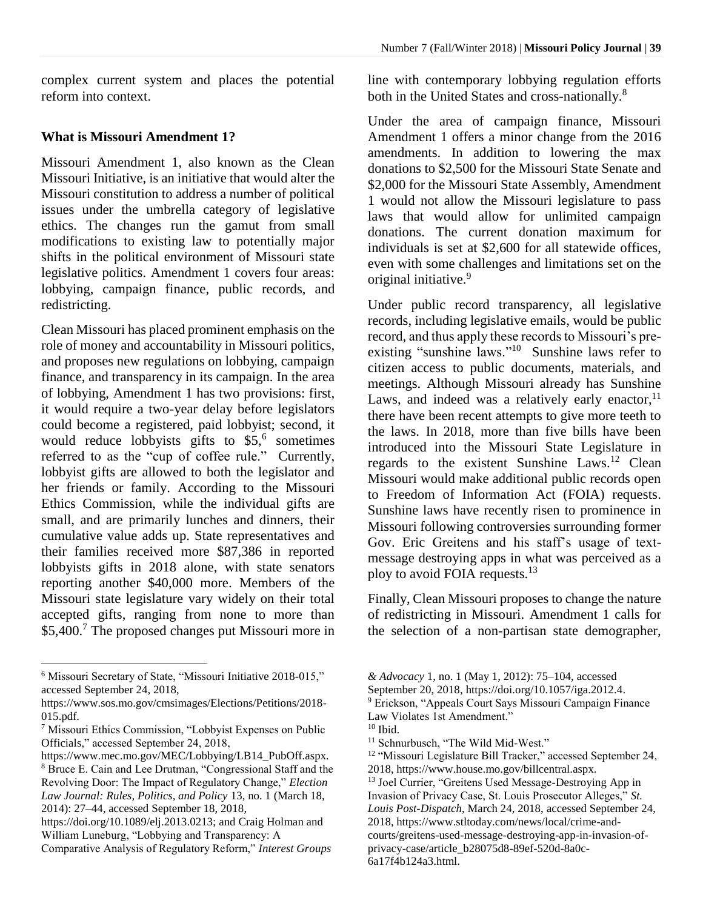complex current system and places the potential reform into context.

#### **What is Missouri Amendment 1?**

Missouri Amendment 1, also known as the Clean Missouri Initiative, is an initiative that would alter the Missouri constitution to address a number of political issues under the umbrella category of legislative ethics. The changes run the gamut from small modifications to existing law to potentially major shifts in the political environment of Missouri state legislative politics. Amendment 1 covers four areas: lobbying, campaign finance, public records, and redistricting.

Clean Missouri has placed prominent emphasis on the role of money and accountability in Missouri politics, and proposes new regulations on lobbying, campaign finance, and transparency in its campaign. In the area of lobbying, Amendment 1 has two provisions: first, it would require a two-year delay before legislators could become a registered, paid lobbyist; second, it would reduce lobbyists gifts to \$5, 6 sometimes referred to as the "cup of coffee rule." Currently, lobbyist gifts are allowed to both the legislator and her friends or family. According to the Missouri Ethics Commission, while the individual gifts are small, and are primarily lunches and dinners, their cumulative value adds up. State representatives and their families received more \$87,386 in reported lobbyists gifts in 2018 alone, with state senators reporting another \$40,000 more. Members of the Missouri state legislature vary widely on their total accepted gifts, ranging from none to more than \$5,400.<sup>7</sup> The proposed changes put Missouri more in

 $\overline{a}$ 

line with contemporary lobbying regulation efforts both in the United States and cross-nationally.<sup>8</sup>

Under the area of campaign finance, Missouri Amendment 1 offers a minor change from the 2016 amendments. In addition to lowering the max donations to \$2,500 for the Missouri State Senate and \$2,000 for the Missouri State Assembly, Amendment 1 would not allow the Missouri legislature to pass laws that would allow for unlimited campaign donations. The current donation maximum for individuals is set at \$2,600 for all statewide offices, even with some challenges and limitations set on the original initiative.<sup>9</sup>

Under public record transparency, all legislative records, including legislative emails, would be public record, and thus apply these records to Missouri's preexisting "sunshine laws."<sup>10</sup> Sunshine laws refer to citizen access to public documents, materials, and meetings. Although Missouri already has Sunshine Laws, and indeed was a relatively early enactor, $11$ there have been recent attempts to give more teeth to the laws. In 2018, more than five bills have been introduced into the Missouri State Legislature in regards to the existent Sunshine Laws.<sup>12</sup> Clean Missouri would make additional public records open to Freedom of Information Act (FOIA) requests. Sunshine laws have recently risen to prominence in Missouri following controversies surrounding former Gov. Eric Greitens and his staff's usage of textmessage destroying apps in what was perceived as a ploy to avoid FOIA requests.<sup>13</sup>

Finally, Clean Missouri proposes to change the nature of redistricting in Missouri. Amendment 1 calls for the selection of a non-partisan state demographer,

<sup>6</sup> Missouri Secretary of State, "Missouri Initiative 2018-015," accessed September 24, 2018,

https://www.sos.mo.gov/cmsimages/Elections/Petitions/2018- 015.pdf.

<sup>7</sup> Missouri Ethics Commission, "Lobbyist Expenses on Public Officials," accessed September 24, 2018,

https://www.mec.mo.gov/MEC/Lobbying/LB14\_PubOff.aspx. <sup>8</sup> Bruce E. Cain and Lee Drutman, "Congressional Staff and the Revolving Door: The Impact of Regulatory Change," *Election Law Journal: Rules, Politics, and Policy* 13, no. 1 (March 18, 2014): 27–44, accessed September 18, 2018,

https://doi.org/10.1089/elj.2013.0213; and Craig Holman and William Luneburg, "Lobbying and Transparency: A Comparative Analysis of Regulatory Reform," *Interest Groups* 

*<sup>&</sup>amp; Advocacy* 1, no. 1 (May 1, 2012): 75–104, accessed

September 20, 2018, https://doi.org/10.1057/iga.2012.4.

<sup>&</sup>lt;sup>9</sup> Erickson, "Appeals Court Says Missouri Campaign Finance Law Violates 1st Amendment."

 $10$  Ibid.

<sup>&</sup>lt;sup>11</sup> Schnurbusch, "The Wild Mid-West."

<sup>&</sup>lt;sup>12</sup> "Missouri Legislature Bill Tracker," accessed September 24, 2018, https://www.house.mo.gov/billcentral.aspx.

<sup>&</sup>lt;sup>13</sup> Joel Currier, "Greitens Used Message-Destroying App in Invasion of Privacy Case, St. Louis Prosecutor Alleges," *St. Louis Post-Dispatch*, March 24, 2018, accessed September 24, 2018, https://www.stltoday.com/news/local/crime-andcourts/greitens-used-message-destroying-app-in-invasion-ofprivacy-case/article\_b28075d8-89ef-520d-8a0c-6a17f4b124a3.html.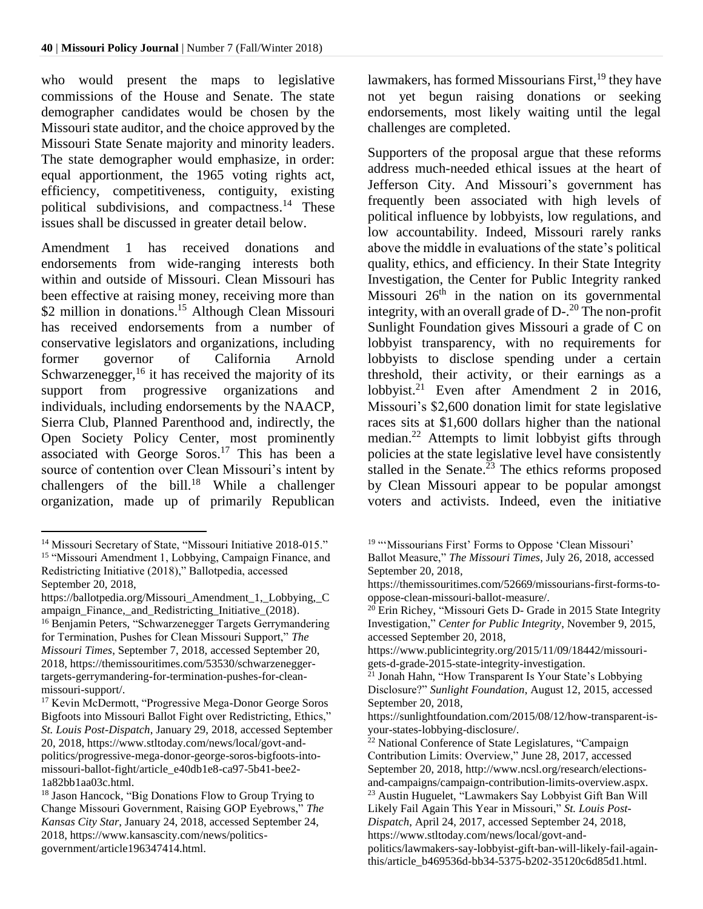who would present the maps to legislative commissions of the House and Senate. The state demographer candidates would be chosen by the Missouri state auditor, and the choice approved by the Missouri State Senate majority and minority leaders. The state demographer would emphasize, in order: equal apportionment, the 1965 voting rights act, efficiency, competitiveness, contiguity, existing political subdivisions, and compactness.<sup>14</sup> These issues shall be discussed in greater detail below.

Amendment 1 has received donations and endorsements from wide-ranging interests both within and outside of Missouri. Clean Missouri has been effective at raising money, receiving more than \$2 million in donations.<sup>15</sup> Although Clean Missouri has received endorsements from a number of conservative legislators and organizations, including former governor of California Arnold Schwarzenegger,<sup>16</sup> it has received the majority of its support from progressive organizations and individuals, including endorsements by the NAACP, Sierra Club, Planned Parenthood and, indirectly, the Open Society Policy Center, most prominently associated with George Soros.<sup>17</sup> This has been a source of contention over Clean Missouri's intent by challengers of the bill.<sup>18</sup> While a challenger organization, made up of primarily Republican

lawmakers, has formed Missourians First, <sup>19</sup> they have not yet begun raising donations or seeking endorsements, most likely waiting until the legal challenges are completed.

Supporters of the proposal argue that these reforms address much-needed ethical issues at the heart of Jefferson City. And Missouri's government has frequently been associated with high levels of political influence by lobbyists, low regulations, and low accountability. Indeed, Missouri rarely ranks above the middle in evaluations of the state's political quality, ethics, and efficiency. In their State Integrity Investigation, the Center for Public Integrity ranked Missouri  $26<sup>th</sup>$  in the nation on its governmental integrity, with an overall grade of D-. <sup>20</sup> The non-profit Sunlight Foundation gives Missouri a grade of C on lobbyist transparency, with no requirements for lobbyists to disclose spending under a certain threshold, their activity, or their earnings as a lobbyist.<sup>21</sup> Even after Amendment 2 in 2016, Missouri's \$2,600 donation limit for state legislative races sits at \$1,600 dollars higher than the national median.<sup>22</sup> Attempts to limit lobbyist gifts through policies at the state legislative level have consistently stalled in the Senate.<sup>23</sup> The ethics reforms proposed by Clean Missouri appear to be popular amongst voters and activists. Indeed, even the initiative

 $\overline{a}$ <sup>14</sup> Missouri Secretary of State, "Missouri Initiative 2018-015."

<sup>15</sup> "Missouri Amendment 1, Lobbying, Campaign Finance, and Redistricting Initiative (2018)," Ballotpedia, accessed September 20, 2018,

https://ballotpedia.org/Missouri\_Amendment\_1,\_Lobbying,\_C ampaign Finance, and Redistricting Initiative (2018). <sup>16</sup> Benjamin Peters, "Schwarzenegger Targets Gerrymandering for Termination, Pushes for Clean Missouri Support," *The Missouri Times*, September 7, 2018, accessed September 20, 2018, https://themissouritimes.com/53530/schwarzeneggertargets-gerrymandering-for-termination-pushes-for-cleanmissouri-support/.

<sup>&</sup>lt;sup>17</sup> Kevin McDermott, "Progressive Mega-Donor George Soros Bigfoots into Missouri Ballot Fight over Redistricting, Ethics," *St. Louis Post-Dispatch*, January 29, 2018, accessed September 20, 2018, https://www.stltoday.com/news/local/govt-andpolitics/progressive-mega-donor-george-soros-bigfoots-intomissouri-ballot-fight/article\_e40db1e8-ca97-5b41-bee2- 1a82bb1aa03c.html.

<sup>&</sup>lt;sup>18</sup> Jason Hancock, "Big Donations Flow to Group Trying to Change Missouri Government, Raising GOP Eyebrows," *The Kansas City Star*, January 24, 2018, accessed September 24, 2018, https://www.kansascity.com/news/politicsgovernment/article196347414.html.

<sup>&</sup>lt;sup>19</sup> "'Missourians First' Forms to Oppose 'Clean Missouri'

Ballot Measure," *The Missouri Times*, July 26, 2018, accessed September 20, 2018,

https://themissouritimes.com/52669/missourians-first-forms-tooppose-clean-missouri-ballot-measure/.

<sup>&</sup>lt;sup>20</sup> Erin Richey, "Missouri Gets D- Grade in 2015 State Integrity Investigation," *Center for Public Integrity*, November 9, 2015, accessed September 20, 2018,

https://www.publicintegrity.org/2015/11/09/18442/missourigets-d-grade-2015-state-integrity-investigation.

 $^{21}$  Jonah Hahn, "How Transparent Is Your State's Lobbying Disclosure?" *Sunlight Foundation*, August 12, 2015, accessed September 20, 2018,

https://sunlightfoundation.com/2015/08/12/how-transparent-isyour-states-lobbying-disclosure/.

<sup>22</sup> National Conference of State Legislatures, "Campaign Contribution Limits: Overview," June 28, 2017, accessed September 20, 2018, http://www.ncsl.org/research/electionsand-campaigns/campaign-contribution-limits-overview.aspx. <sup>23</sup> Austin Huguelet, "Lawmakers Say Lobbyist Gift Ban Will Likely Fail Again This Year in Missouri," *St. Louis Post-Dispatch*, April 24, 2017, accessed September 24, 2018, https://www.stltoday.com/news/local/govt-andpolitics/lawmakers-say-lobbyist-gift-ban-will-likely-fail-again-

this/article\_b469536d-bb34-5375-b202-35120c6d85d1.html.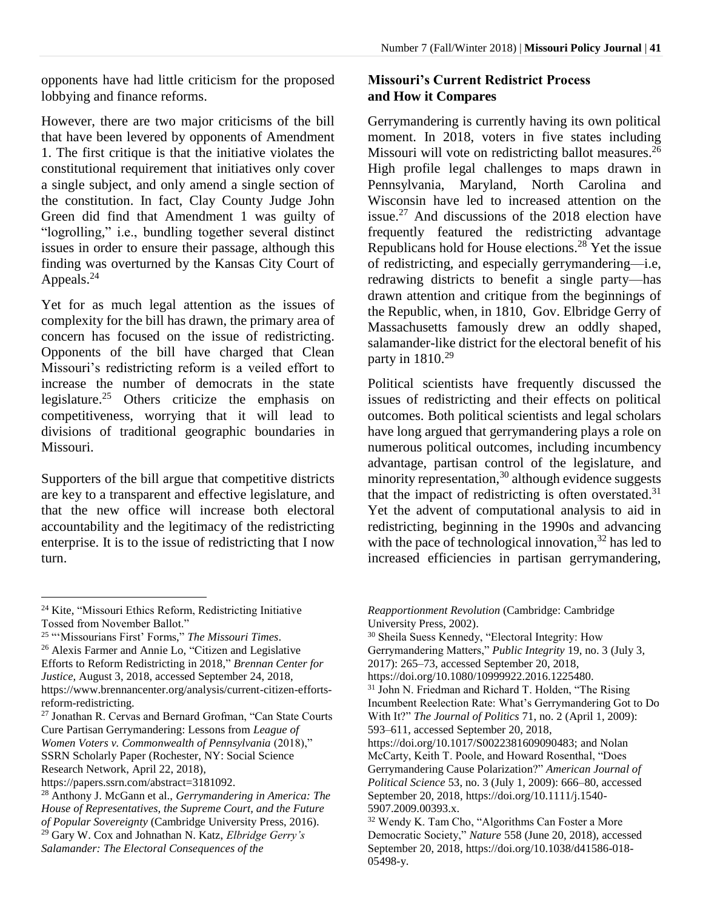opponents have had little criticism for the proposed lobbying and finance reforms.

However, there are two major criticisms of the bill that have been levered by opponents of Amendment 1. The first critique is that the initiative violates the constitutional requirement that initiatives only cover a single subject, and only amend a single section of the constitution. In fact, Clay County Judge John Green did find that Amendment 1 was guilty of "logrolling," i.e., bundling together several distinct issues in order to ensure their passage, although this finding was overturned by the Kansas City Court of Appeals.<sup>24</sup>

Yet for as much legal attention as the issues of complexity for the bill has drawn, the primary area of concern has focused on the issue of redistricting. Opponents of the bill have charged that Clean Missouri's redistricting reform is a veiled effort to increase the number of democrats in the state legislature. <sup>25</sup> Others criticize the emphasis on competitiveness, worrying that it will lead to divisions of traditional geographic boundaries in Missouri.

Supporters of the bill argue that competitive districts are key to a transparent and effective legislature, and that the new office will increase both electoral accountability and the legitimacy of the redistricting enterprise. It is to the issue of redistricting that I now turn.

### **Missouri's Current Redistrict Process and How it Compares**

Gerrymandering is currently having its own political moment. In 2018, voters in five states including Missouri will vote on redistricting ballot measures.<sup>26</sup> High profile legal challenges to maps drawn in Pennsylvania, Maryland, North Carolina and Wisconsin have led to increased attention on the issue. <sup>27</sup> And discussions of the 2018 election have frequently featured the redistricting advantage Republicans hold for House elections.<sup>28</sup> Yet the issue of redistricting, and especially gerrymandering—i.e, redrawing districts to benefit a single party—has drawn attention and critique from the beginnings of the Republic, when, in 1810, Gov. Elbridge Gerry of Massachusetts famously drew an oddly shaped, salamander-like district for the electoral benefit of his party in  $1810.^{29}$ 

Political scientists have frequently discussed the issues of redistricting and their effects on political outcomes. Both political scientists and legal scholars have long argued that gerrymandering plays a role on numerous political outcomes, including incumbency advantage, partisan control of the legislature, and minority representation,<sup>30</sup> although evidence suggests that the impact of redistricting is often overstated. $31$ Yet the advent of computational analysis to aid in redistricting, beginning in the 1990s and advancing with the pace of technological innovation,<sup>32</sup> has led to increased efficiencies in partisan gerrymandering,

 $\overline{a}$ 

<sup>24</sup> Kite, "Missouri Ethics Reform, Redistricting Initiative Tossed from November Ballot."

<sup>25</sup> "'Missourians First' Forms," *The Missouri Times*. <sup>26</sup> Alexis Farmer and Annie Lo, "Citizen and Legislative Efforts to Reform Redistricting in 2018," *Brennan Center for Justice*, August 3, 2018, accessed September 24, 2018, https://www.brennancenter.org/analysis/current-citizen-effortsreform-redistricting.

<sup>27</sup> Jonathan R. Cervas and Bernard Grofman, "Can State Courts Cure Partisan Gerrymandering: Lessons from *League of Women Voters v. Commonwealth of Pennsylvania* (2018)," SSRN Scholarly Paper (Rochester, NY: Social Science Research Network, April 22, 2018),

https://papers.ssrn.com/abstract=3181092.

<sup>28</sup> Anthony J. McGann et al., *Gerrymandering in America: The House of Representatives, the Supreme Court, and the Future of Popular Sovereignty* (Cambridge University Press, 2016). <sup>29</sup> Gary W. Cox and Johnathan N. Katz, *Elbridge Gerry's Salamander: The Electoral Consequences of the* 

*Reapportionment Revolution* (Cambridge: Cambridge University Press, 2002).

<sup>30</sup> Sheila Suess Kennedy, "Electoral Integrity: How Gerrymandering Matters," *Public Integrity* 19, no. 3 (July 3, 2017): 265–73, accessed September 20, 2018, https://doi.org/10.1080/10999922.2016.1225480.

<sup>&</sup>lt;sup>31</sup> John N. Friedman and Richard T. Holden, "The Rising Incumbent Reelection Rate: What's Gerrymandering Got to Do With It?" *The Journal of Politics* 71, no. 2 (April 1, 2009): 593–611, accessed September 20, 2018,

https://doi.org/10.1017/S0022381609090483; and Nolan McCarty, Keith T. Poole, and Howard Rosenthal, "Does Gerrymandering Cause Polarization?" *American Journal of Political Science* 53, no. 3 (July 1, 2009): 666–80, accessed September 20, 2018, https://doi.org/10.1111/j.1540- 5907.2009.00393.x.

<sup>32</sup> Wendy K. Tam Cho, "Algorithms Can Foster a More Democratic Society," *Nature* 558 (June 20, 2018), accessed September 20, 2018, https://doi.org/10.1038/d41586-018- 05498-y.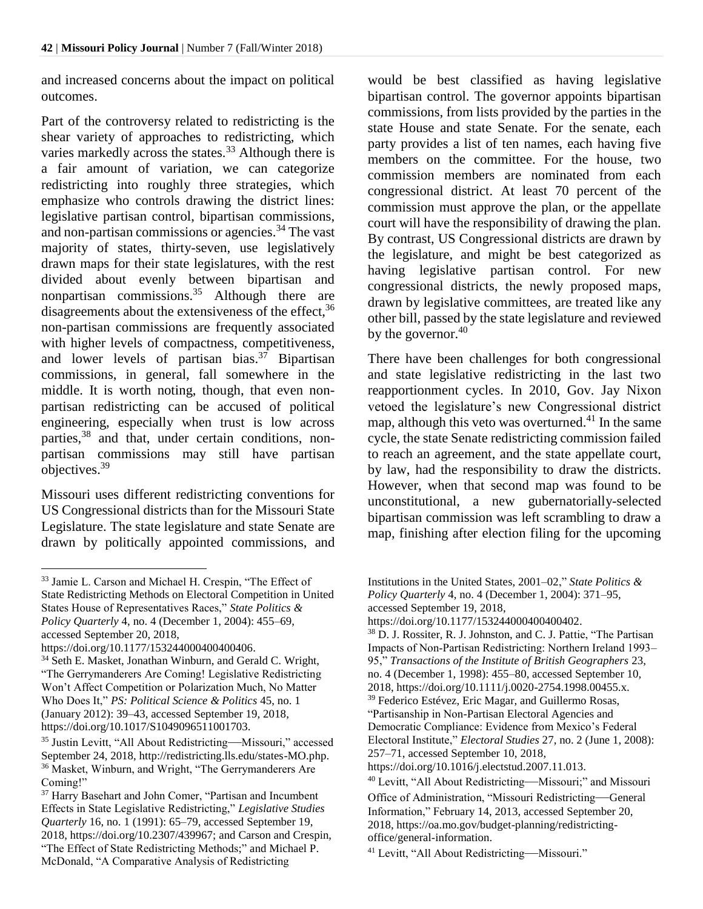and increased concerns about the impact on political outcomes.

Part of the controversy related to redistricting is the shear variety of approaches to redistricting, which varies markedly across the states.<sup>33</sup> Although there is a fair amount of variation, we can categorize redistricting into roughly three strategies, which emphasize who controls drawing the district lines: legislative partisan control, bipartisan commissions, and non-partisan commissions or agencies. <sup>34</sup> The vast majority of states, thirty-seven, use legislatively drawn maps for their state legislatures, with the rest divided about evenly between bipartisan and nonpartisan commissions.<sup>35</sup> Although there are disagreements about the extensiveness of the effect,<sup>36</sup> non-partisan commissions are frequently associated with higher levels of compactness, competitiveness, and lower levels of partisan bias. <sup>37</sup> Bipartisan commissions, in general, fall somewhere in the middle. It is worth noting, though, that even nonpartisan redistricting can be accused of political engineering, especially when trust is low across parties,<sup>38</sup> and that, under certain conditions, nonpartisan commissions may still have partisan objectives. 39

Missouri uses different redistricting conventions for US Congressional districts than for the Missouri State Legislature. The state legislature and state Senate are drawn by politically appointed commissions, and

 $\overline{a}$ 

would be best classified as having legislative bipartisan control. The governor appoints bipartisan commissions, from lists provided by the parties in the state House and state Senate. For the senate, each party provides a list of ten names, each having five members on the committee. For the house, two commission members are nominated from each congressional district. At least 70 percent of the commission must approve the plan, or the appellate court will have the responsibility of drawing the plan. By contrast, US Congressional districts are drawn by the legislature, and might be best categorized as having legislative partisan control. For new congressional districts, the newly proposed maps, drawn by legislative committees, are treated like any other bill, passed by the state legislature and reviewed by the governor.<sup>40</sup>

There have been challenges for both congressional and state legislative redistricting in the last two reapportionment cycles. In 2010, Gov. Jay Nixon vetoed the legislature's new Congressional district map, although this veto was overturned. <sup>41</sup> In the same cycle, the state Senate redistricting commission failed to reach an agreement, and the state appellate court, by law, had the responsibility to draw the districts. However, when that second map was found to be unconstitutional, a new gubernatorially-selected bipartisan commission was left scrambling to draw a map, finishing after election filing for the upcoming

Institutions in the United States, 2001–02," *State Politics & Policy Quarterly* 4, no. 4 (December 1, 2004): 371–95,

<sup>33</sup> Jamie L. Carson and Michael H. Crespin, "The Effect of State Redistricting Methods on Electoral Competition in United States House of Representatives Races," *State Politics & Policy Quarterly* 4, no. 4 (December 1, 2004): 455–69, accessed September 20, 2018,

https://doi.org/10.1177/153244000400400406.

<sup>&</sup>lt;sup>34</sup> Seth E. Masket, Jonathan Winburn, and Gerald C. Wright, "The Gerrymanderers Are Coming! Legislative Redistricting Won't Affect Competition or Polarization Much, No Matter Who Does It," *PS: Political Science & Politics* 45, no. 1 (January 2012): 39–43, accessed September 19, 2018, https://doi.org/10.1017/S1049096511001703.

<sup>35</sup> Justin Levitt, "All About Redistricting—Missouri," accessed September 24, 2018, http://redistricting.lls.edu/states-MO.php. <sup>36</sup> Masket, Winburn, and Wright, "The Gerrymanderers Are Coming!"

<sup>&</sup>lt;sup>37</sup> Harry Basehart and John Comer, "Partisan and Incumbent Effects in State Legislative Redistricting," *Legislative Studies Quarterly* 16, no. 1 (1991): 65–79, accessed September 19, 2018, https://doi.org/10.2307/439967; and Carson and Crespin, "The Effect of State Redistricting Methods;" and Michael P. McDonald, "A Comparative Analysis of Redistricting

accessed September 19, 2018,

https://doi.org/10.1177/153244000400400402.

<sup>38</sup> D. J. Rossiter, R. J. Johnston, and C. J. Pattie, "The Partisan Impacts of Non‐Partisan Redistricting: Northern Ireland 1993– 95," *Transactions of the Institute of British Geographers* 23, no. 4 (December 1, 1998): 455–80, accessed September 10, 2018, https://doi.org/10.1111/j.0020-2754.1998.00455.x. <sup>39</sup> Federico Estévez, Eric Magar, and Guillermo Rosas, "Partisanship in Non-Partisan Electoral Agencies and Democratic Compliance: Evidence from Mexico's Federal Electoral Institute," *Electoral Studies* 27, no. 2 (June 1, 2008):

<sup>257–71,</sup> accessed September 10, 2018,

https://doi.org/10.1016/j.electstud.2007.11.013.

<sup>40</sup> Levitt, "All About Redistricting—Missouri;" and Missouri Office of Administration, "Missouri Redistricting—General Information," February 14, 2013, accessed September 20, 2018, https://oa.mo.gov/budget-planning/redistrictingoffice/general-information.

<sup>41</sup> Levitt, "All About Redistricting—Missouri."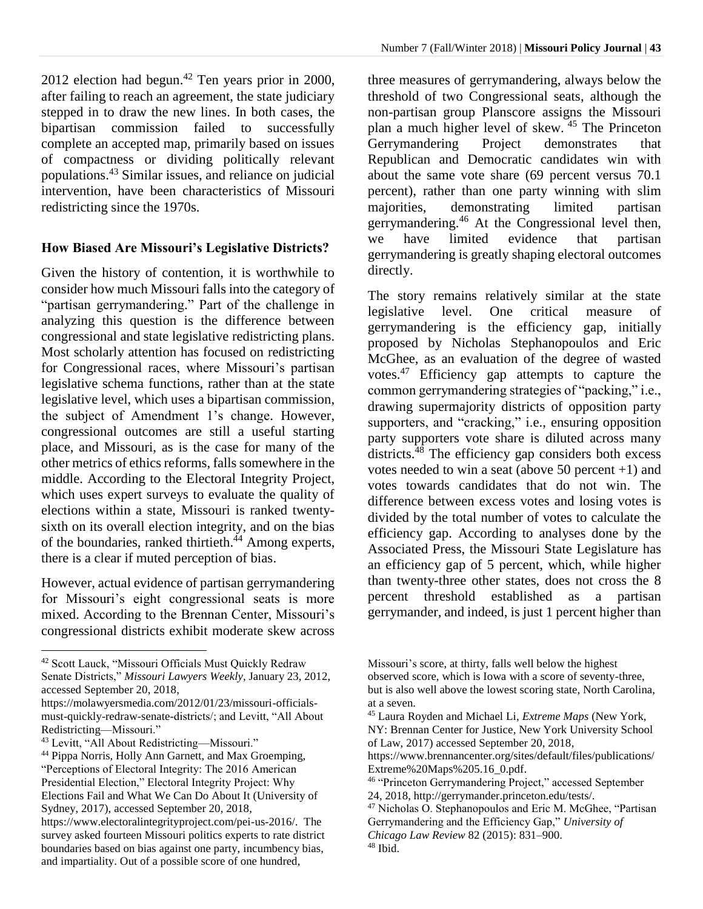$2012$  election had begun.<sup>42</sup> Ten years prior in 2000, after failing to reach an agreement, the state judiciary stepped in to draw the new lines. In both cases, the bipartisan commission failed to successfully complete an accepted map, primarily based on issues of compactness or dividing politically relevant populations. <sup>43</sup> Similar issues, and reliance on judicial intervention, have been characteristics of Missouri redistricting since the 1970s.

#### **How Biased Are Missouri's Legislative Districts?**

Given the history of contention, it is worthwhile to consider how much Missouri falls into the category of "partisan gerrymandering." Part of the challenge in analyzing this question is the difference between congressional and state legislative redistricting plans. Most scholarly attention has focused on redistricting for Congressional races, where Missouri's partisan legislative schema functions, rather than at the state legislative level, which uses a bipartisan commission, the subject of Amendment 1's change. However, congressional outcomes are still a useful starting place, and Missouri, as is the case for many of the other metrics of ethics reforms, falls somewhere in the middle. According to the Electoral Integrity Project, which uses expert surveys to evaluate the quality of elections within a state, Missouri is ranked twentysixth on its overall election integrity, and on the bias of the boundaries, ranked thirtieth. <sup>44</sup> Among experts, there is a clear if muted perception of bias.

However, actual evidence of partisan gerrymandering for Missouri's eight congressional seats is more mixed. According to the Brennan Center, Missouri's congressional districts exhibit moderate skew across

 $\overline{a}$ 

three measures of gerrymandering, always below the threshold of two Congressional seats, although the non-partisan group Planscore assigns the Missouri plan a much higher level of skew. <sup>45</sup> The Princeton Gerrymandering Project demonstrates that Republican and Democratic candidates win with about the same vote share (69 percent versus 70.1 percent), rather than one party winning with slim majorities, demonstrating limited partisan gerrymandering.<sup>46</sup> At the Congressional level then, we have limited evidence that partisan gerrymandering is greatly shaping electoral outcomes directly.

The story remains relatively similar at the state legislative level. One critical measure of gerrymandering is the efficiency gap, initially proposed by Nicholas Stephanopoulos and Eric McGhee, as an evaluation of the degree of wasted votes.<sup>47</sup> Efficiency gap attempts to capture the common gerrymandering strategies of "packing," i.e., drawing supermajority districts of opposition party supporters, and "cracking," i.e., ensuring opposition party supporters vote share is diluted across many districts. $48$  The efficiency gap considers both excess votes needed to win a seat (above 50 percent +1) and votes towards candidates that do not win. The difference between excess votes and losing votes is divided by the total number of votes to calculate the efficiency gap. According to analyses done by the Associated Press, the Missouri State Legislature has an efficiency gap of 5 percent, which, while higher than twenty-three other states, does not cross the 8 percent threshold established as a partisan gerrymander, and indeed, is just 1 percent higher than

<sup>42</sup> Scott Lauck, "Missouri Officials Must Quickly Redraw Senate Districts," *Missouri Lawyers Weekly*, January 23, 2012, accessed September 20, 2018,

https://molawyersmedia.com/2012/01/23/missouri-officialsmust-quickly-redraw-senate-districts/; and Levitt, "All About Redistricting—Missouri."

<sup>43</sup> Levitt, "All About Redistricting—Missouri."

<sup>44</sup> Pippa Norris, Holly Ann Garnett, and Max Groemping, "Perceptions of Electoral Integrity: The 2016 American Presidential Election," Electoral Integrity Project: Why Elections Fail and What We Can Do About It (University of Sydney, 2017), accessed September 20, 2018,

https://www.electoralintegrityproject.com/pei-us-2016/. The survey asked fourteen Missouri politics experts to rate district boundaries based on bias against one party, incumbency bias, and impartiality. Out of a possible score of one hundred,

Missouri's score, at thirty, falls well below the highest observed score, which is Iowa with a score of seventy-three, but is also well above the lowest scoring state, North Carolina, at a seven.

<sup>45</sup> Laura Royden and Michael Li, *Extreme Maps* (New York, NY: Brennan Center for Justice, New York University School of Law, 2017) accessed September 20, 2018,

https://www.brennancenter.org/sites/default/files/publications/ Extreme%20Maps%205.16\_0.pdf.

<sup>46</sup> "Princeton Gerrymandering Project," accessed September 24, 2018, http://gerrymander.princeton.edu/tests/.

<sup>47</sup> Nicholas O. Stephanopoulos and Eric M. McGhee, "Partisan Gerrymandering and the Efficiency Gap," *University of* 

*Chicago Law Review* 82 (2015): 831–900.

<sup>48</sup> Ibid.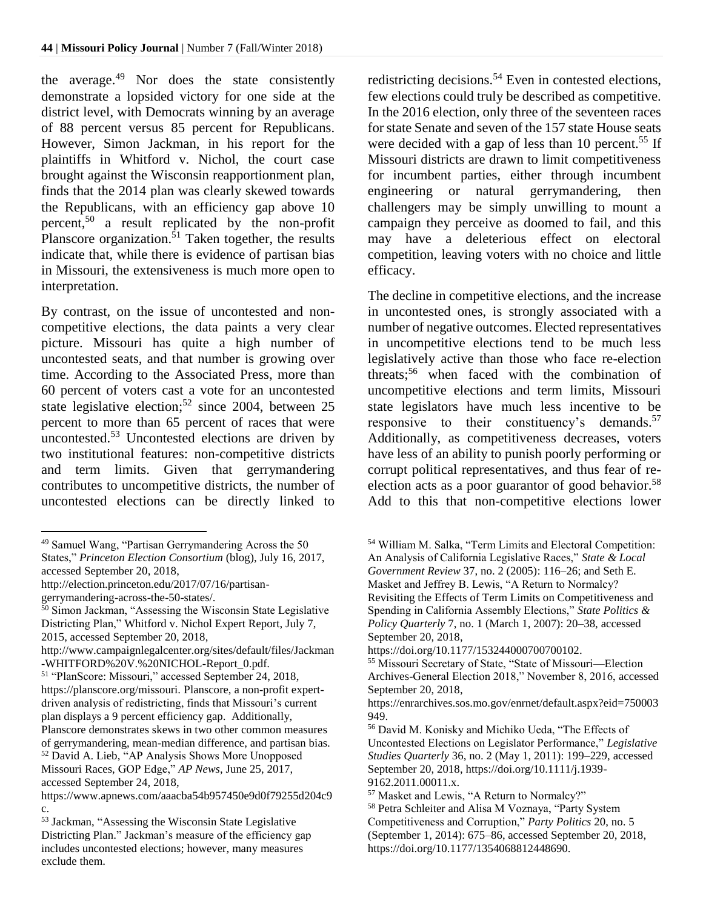the average.<sup>49</sup> Nor does the state consistently demonstrate a lopsided victory for one side at the district level, with Democrats winning by an average of 88 percent versus 85 percent for Republicans. However, Simon Jackman, in his report for the plaintiffs in Whitford v. Nichol, the court case brought against the Wisconsin reapportionment plan, finds that the 2014 plan was clearly skewed towards the Republicans, with an efficiency gap above 10 percent, <sup>50</sup> a result replicated by the non-profit Planscore organization.<sup>51</sup> Taken together, the results indicate that, while there is evidence of partisan bias in Missouri, the extensiveness is much more open to interpretation.

By contrast, on the issue of uncontested and noncompetitive elections, the data paints a very clear picture. Missouri has quite a high number of uncontested seats, and that number is growing over time. According to the Associated Press, more than 60 percent of voters cast a vote for an uncontested state legislative election; <sup>52</sup> since 2004, between 25 percent to more than 65 percent of races that were uncontested.<sup>53</sup> Uncontested elections are driven by two institutional features: non-competitive districts and term limits. Given that gerrymandering contributes to uncompetitive districts, the number of uncontested elections can be directly linked to

 $\overline{a}$ 

redistricting decisions.<sup>54</sup> Even in contested elections, few elections could truly be described as competitive. In the 2016 election, only three of the seventeen races for state Senate and seven of the 157 state House seats were decided with a gap of less than 10 percent.<sup>55</sup> If Missouri districts are drawn to limit competitiveness for incumbent parties, either through incumbent engineering or natural gerrymandering, then challengers may be simply unwilling to mount a campaign they perceive as doomed to fail, and this may have a deleterious effect on electoral competition, leaving voters with no choice and little efficacy.

The decline in competitive elections, and the increase in uncontested ones, is strongly associated with a number of negative outcomes. Elected representatives in uncompetitive elections tend to be much less legislatively active than those who face re-election threats;<sup>56</sup> when faced with the combination of uncompetitive elections and term limits, Missouri state legislators have much less incentive to be responsive to their constituency's demands.<sup>57</sup> Additionally, as competitiveness decreases, voters have less of an ability to punish poorly performing or corrupt political representatives, and thus fear of reelection acts as a poor guarantor of good behavior.<sup>58</sup> Add to this that non-competitive elections lower

<sup>49</sup> Samuel Wang, "Partisan Gerrymandering Across the 50

States," *Princeton Election Consortium* (blog), July 16, 2017, accessed September 20, 2018,

http://election.princeton.edu/2017/07/16/partisangerrymandering-across-the-50-states/.

 $50$  Simon Jackman, "Assessing the Wisconsin State Legislative Districting Plan," Whitford v. Nichol Expert Report, July 7, 2015, accessed September 20, 2018,

http://www.campaignlegalcenter.org/sites/default/files/Jackman -WHITFORD%20V.%20NICHOL-Report\_0.pdf*.*

<sup>51</sup> "PlanScore: Missouri," accessed September 24, 2018, https://planscore.org/missouri. Planscore, a non-profit expertdriven analysis of redistricting, finds that Missouri's current plan displays a 9 percent efficiency gap. Additionally, Planscore demonstrates skews in two other common measures of gerrymandering, mean-median difference, and partisan bias. <sup>52</sup> David A. Lieb, "AP Analysis Shows More Unopposed Missouri Races, GOP Edge," *AP News*, June 25, 2017, accessed September 24, 2018,

https://www.apnews.com/aaacba54b957450e9d0f79255d204c9 c.

<sup>53</sup> Jackman, "Assessing the Wisconsin State Legislative Districting Plan." Jackman's measure of the efficiency gap includes uncontested elections; however, many measures exclude them.

<sup>54</sup> William M. Salka, "Term Limits and Electoral Competition: An Analysis of California Legislative Races," *State & Local Government Review* 37, no. 2 (2005): 116–26; and Seth E. Masket and Jeffrey B. Lewis, "A Return to Normalcy? Revisiting the Effects of Term Limits on Competitiveness and Spending in California Assembly Elections," *State Politics & Policy Quarterly* 7, no. 1 (March 1, 2007): 20–38, accessed September 20, 2018,

https://doi.org/10.1177/153244000700700102.

<sup>55</sup> Missouri Secretary of State, "State of Missouri—Election Archives-General Election 2018," November 8, 2016, accessed September 20, 2018,

https://enrarchives.sos.mo.gov/enrnet/default.aspx?eid=750003 949.

<sup>56</sup> David M. Konisky and Michiko Ueda, "The Effects of Uncontested Elections on Legislator Performance," *Legislative Studies Quarterly* 36, no. 2 (May 1, 2011): 199–229, accessed September 20, 2018, https://doi.org/10.1111/j.1939- 9162.2011.00011.x.

<sup>57</sup> Masket and Lewis, "A Return to Normalcy?"

<sup>58</sup> Petra Schleiter and Alisa M Voznaya, "Party System Competitiveness and Corruption," *Party Politics* 20, no. 5 (September 1, 2014): 675–86, accessed September 20, 2018, https://doi.org/10.1177/1354068812448690.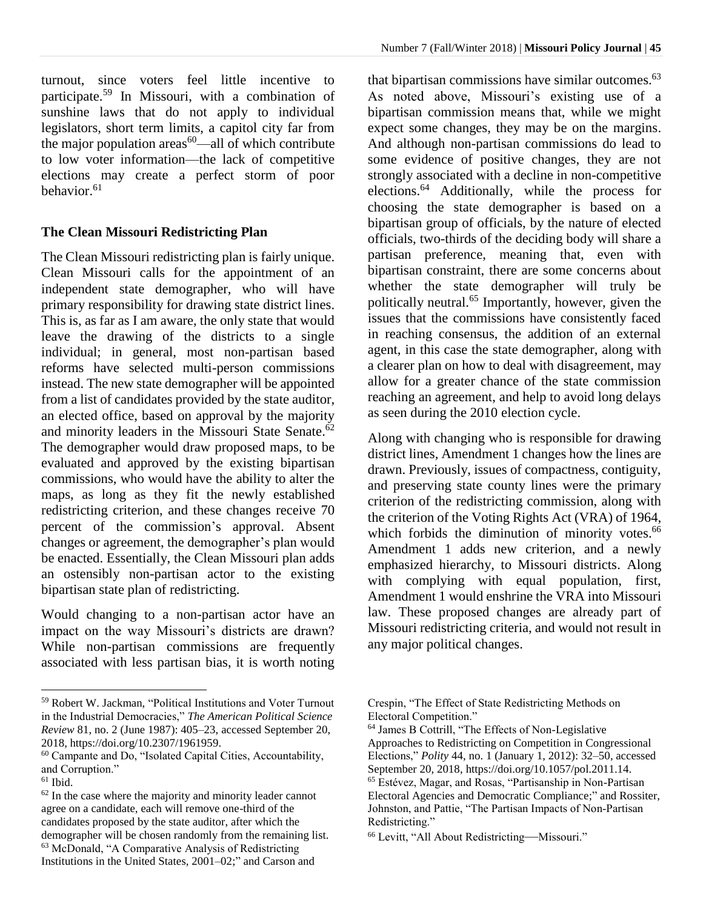turnout, since voters feel little incentive to participate. <sup>59</sup> In Missouri, with a combination of sunshine laws that do not apply to individual legislators, short term limits, a capitol city far from the major population  $\arccos 60$ —all of which contribute to low voter information—the lack of competitive elections may create a perfect storm of poor behavior. 61

# **The Clean Missouri Redistricting Plan**

The Clean Missouri redistricting plan is fairly unique. Clean Missouri calls for the appointment of an independent state demographer, who will have primary responsibility for drawing state district lines. This is, as far as I am aware, the only state that would leave the drawing of the districts to a single individual; in general, most non-partisan based reforms have selected multi-person commissions instead. The new state demographer will be appointed from a list of candidates provided by the state auditor, an elected office, based on approval by the majority and minority leaders in the Missouri State Senate.<sup>62</sup> The demographer would draw proposed maps, to be evaluated and approved by the existing bipartisan commissions, who would have the ability to alter the maps, as long as they fit the newly established redistricting criterion, and these changes receive 70 percent of the commission's approval. Absent changes or agreement, the demographer's plan would be enacted. Essentially, the Clean Missouri plan adds an ostensibly non-partisan actor to the existing bipartisan state plan of redistricting.

Would changing to a non-partisan actor have an impact on the way Missouri's districts are drawn? While non-partisan commissions are frequently associated with less partisan bias, it is worth noting

 $\overline{a}$ 

that bipartisan commissions have similar outcomes. 63 As noted above, Missouri's existing use of a bipartisan commission means that, while we might expect some changes, they may be on the margins. And although non-partisan commissions do lead to some evidence of positive changes, they are not strongly associated with a decline in non-competitive elections.<sup>64</sup> Additionally, while the process for choosing the state demographer is based on a bipartisan group of officials, by the nature of elected officials, two-thirds of the deciding body will share a partisan preference, meaning that, even with bipartisan constraint, there are some concerns about whether the state demographer will truly be politically neutral.<sup>65</sup> Importantly, however, given the issues that the commissions have consistently faced in reaching consensus, the addition of an external agent, in this case the state demographer, along with a clearer plan on how to deal with disagreement, may allow for a greater chance of the state commission reaching an agreement, and help to avoid long delays as seen during the 2010 election cycle.

Along with changing who is responsible for drawing district lines, Amendment 1 changes how the lines are drawn. Previously, issues of compactness, contiguity, and preserving state county lines were the primary criterion of the redistricting commission, along with the criterion of the Voting Rights Act (VRA) of 1964, which forbids the diminution of minority votes.<sup>66</sup> Amendment 1 adds new criterion, and a newly emphasized hierarchy, to Missouri districts. Along with complying with equal population, first, Amendment 1 would enshrine the VRA into Missouri law. These proposed changes are already part of Missouri redistricting criteria, and would not result in any major political changes.

<sup>59</sup> Robert W. Jackman, "Political Institutions and Voter Turnout in the Industrial Democracies," *The American Political Science Review* 81, no. 2 (June 1987): 405–23, accessed September 20, 2018, https://doi.org/10.2307/1961959.

<sup>60</sup> Campante and Do, "Isolated Capital Cities, Accountability, and Corruption."

 $61$  Ibid.

<sup>62</sup> In the case where the majority and minority leader cannot agree on a candidate, each will remove one-third of the candidates proposed by the state auditor, after which the demographer will be chosen randomly from the remaining list. <sup>63</sup> McDonald, "A Comparative Analysis of Redistricting Institutions in the United States, 2001–02;" and Carson and

Crespin, "The Effect of State Redistricting Methods on Electoral Competition."

<sup>64</sup> James B Cottrill, "The Effects of Non-Legislative Approaches to Redistricting on Competition in Congressional Elections," *Polity* 44, no. 1 (January 1, 2012): 32–50, accessed September 20, 2018, https://doi.org/10.1057/pol.2011.14. <sup>65</sup> Estévez, Magar, and Rosas, "Partisanship in Non-Partisan Electoral Agencies and Democratic Compliance;" and Rossiter, Johnston, and Pattie, "The Partisan Impacts of Non‐Partisan Redistricting."

<sup>66</sup> Levitt, "All About Redistricting—Missouri."